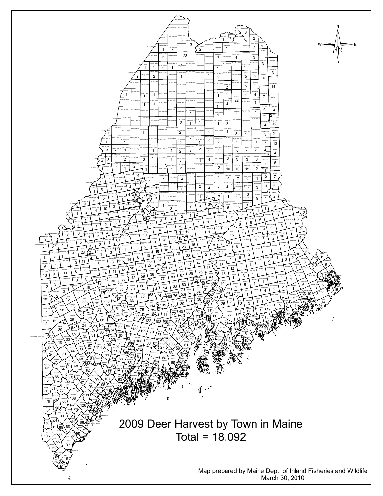